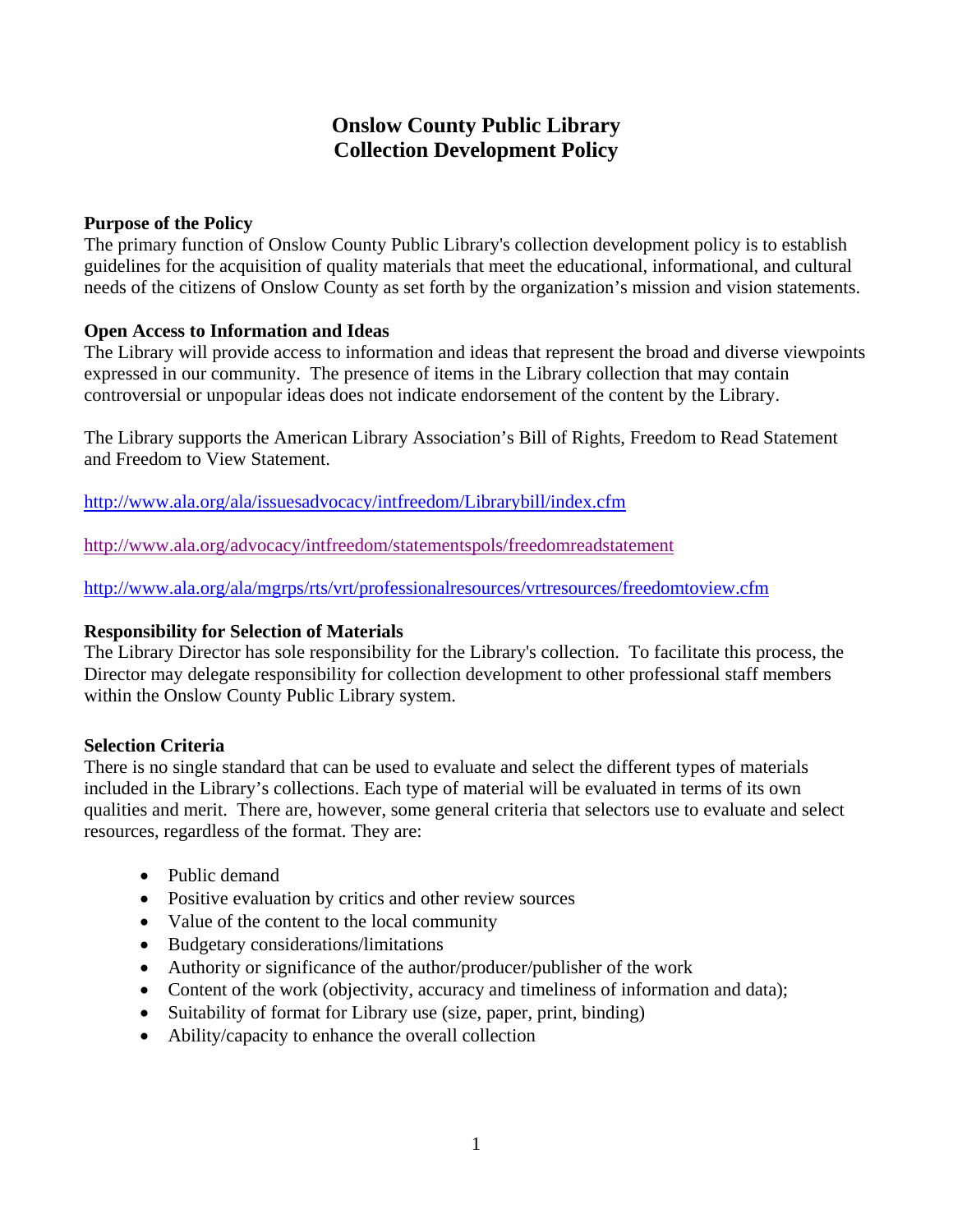# **Onslow County Public Library Collection Development Policy**

## **Purpose of the Policy**

The primary function of Onslow County Public Library's collection development policy is to establish guidelines for the acquisition of quality materials that meet the educational, informational, and cultural needs of the citizens of Onslow County as set forth by the organization's mission and vision statements.

## **Open Access to Information and Ideas**

The Library will provide access to information and ideas that represent the broad and diverse viewpoints expressed in our community. The presence of items in the Library collection that may contain controversial or unpopular ideas does not indicate endorsement of the content by the Library.

The Library supports the American Library Association's Bill of Rights, Freedom to Read Statement and Freedom to View Statement.

http://www.ala.org/ala/issuesadvocacy/intfreedom/Librarybill/index.cfm

http://www.ala.org/advocacy/intfreedom/statementspols/freedomreadstatement

http://www.ala.org/ala/mgrps/rts/vrt/professionalresources/vrtresources/freedomtoview.cfm

#### **Responsibility for Selection of Materials**

The Library Director has sole responsibility for the Library's collection. To facilitate this process, the Director may delegate responsibility for collection development to other professional staff members within the Onslow County Public Library system.

#### **Selection Criteria**

There is no single standard that can be used to evaluate and select the different types of materials included in the Library's collections. Each type of material will be evaluated in terms of its own qualities and merit. There are, however, some general criteria that selectors use to evaluate and select resources, regardless of the format. They are:

- Public demand
- Positive evaluation by critics and other review sources
- Value of the content to the local community
- Budgetary considerations/limitations
- Authority or significance of the author/producer/publisher of the work
- Content of the work (objectivity, accuracy and timeliness of information and data);
- Suitability of format for Library use (size, paper, print, binding)
- Ability/capacity to enhance the overall collection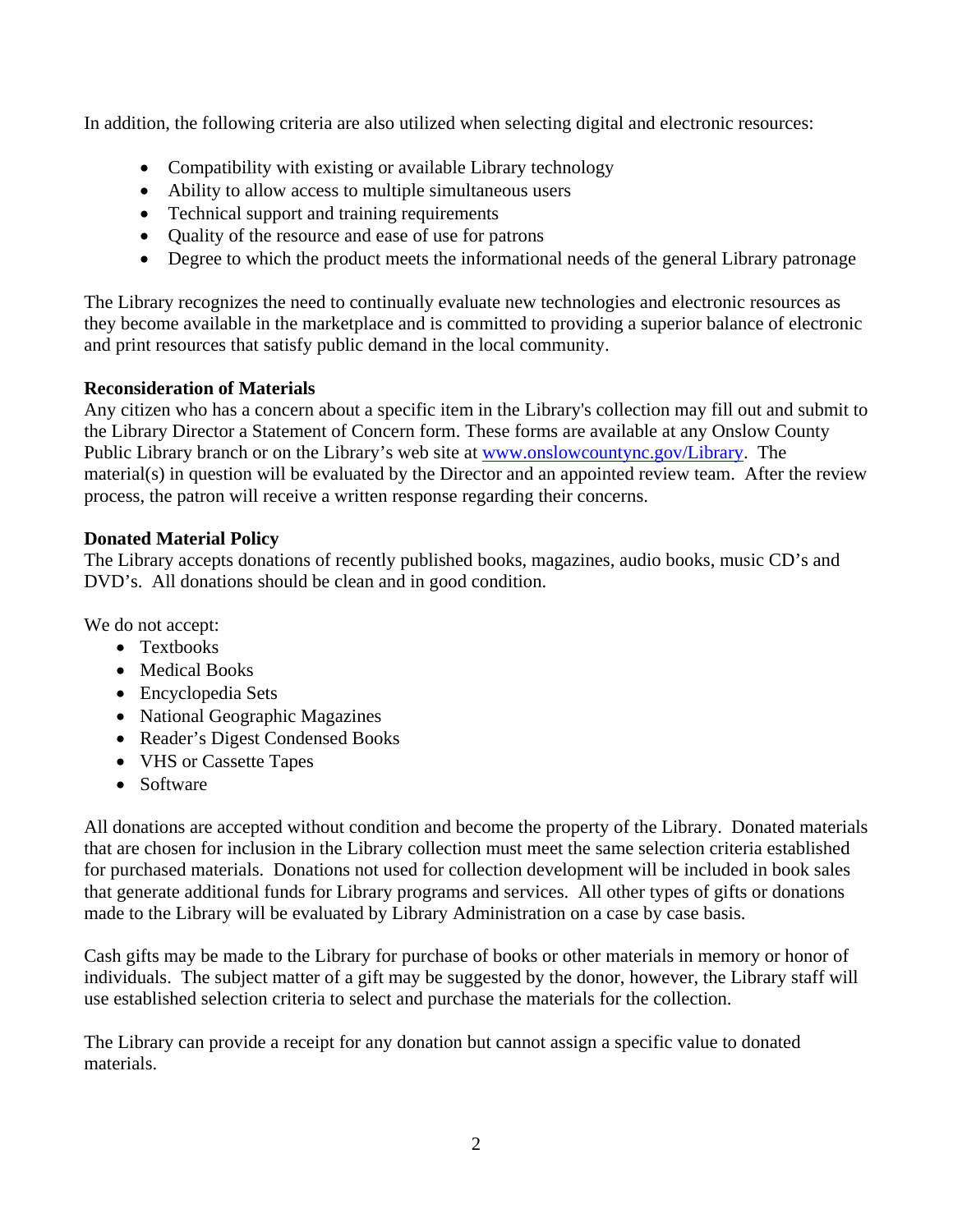In addition, the following criteria are also utilized when selecting digital and electronic resources:

- Compatibility with existing or available Library technology
- Ability to allow access to multiple simultaneous users
- Technical support and training requirements
- Quality of the resource and ease of use for patrons
- Degree to which the product meets the informational needs of the general Library patronage

The Library recognizes the need to continually evaluate new technologies and electronic resources as they become available in the marketplace and is committed to providing a superior balance of electronic and print resources that satisfy public demand in the local community.

# **Reconsideration of Materials**

Any citizen who has a concern about a specific item in the Library's collection may fill out and submit to the Library Director a Statement of Concern form. These forms are available at any Onslow County Public Library branch or on the Library's web site at www.onslowcountync.gov/Library. The material(s) in question will be evaluated by the Director and an appointed review team. After the review process, the patron will receive a written response regarding their concerns.

# **Donated Material Policy**

The Library accepts donations of recently published books, magazines, audio books, music CD's and DVD's. All donations should be clean and in good condition.

We do not accept:

- Textbooks
- Medical Books
- Encyclopedia Sets
- National Geographic Magazines
- Reader's Digest Condensed Books
- VHS or Cassette Tapes
- Software

All donations are accepted without condition and become the property of the Library. Donated materials that are chosen for inclusion in the Library collection must meet the same selection criteria established for purchased materials. Donations not used for collection development will be included in book sales that generate additional funds for Library programs and services. All other types of gifts or donations made to the Library will be evaluated by Library Administration on a case by case basis.

Cash gifts may be made to the Library for purchase of books or other materials in memory or honor of individuals. The subject matter of a gift may be suggested by the donor, however, the Library staff will use established selection criteria to select and purchase the materials for the collection.

The Library can provide a receipt for any donation but cannot assign a specific value to donated materials.